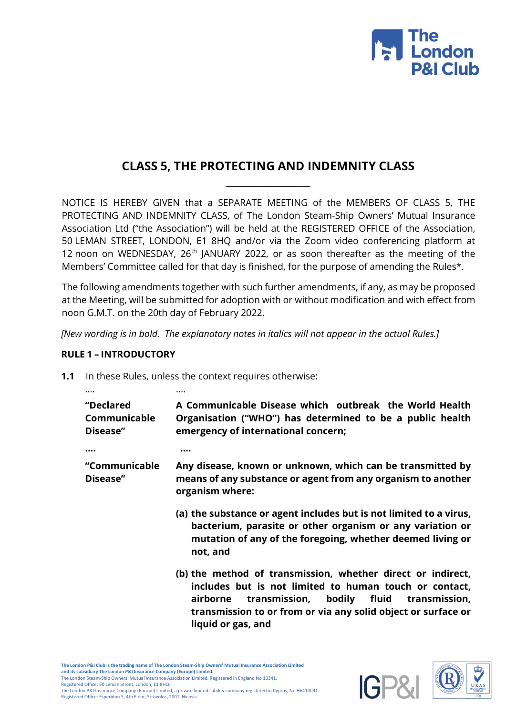

# **CLASS 5, THE PROTECTING AND INDEMNITY CLASS**  $\_$

NOTICE IS HEREBY GIVEN that a SEPARATE MEETING of the MEMBERS OF CLASS 5, THE PROTECTING AND INDEMNITY CLASS, of The London Steam-Ship Owners' Mutual Insurance Association Ltd ("the Association") will be held at the REGISTERED OFFICE of the Association, 50 LEMAN STREET, LONDON, E1 8HQ and/or via the Zoom video conferencing platform at 12 noon on WEDNESDAY,  $26<sup>th</sup>$  JANUARY 2022, or as soon thereafter as the meeting of the Members' Committee called for that day is finished, for the purpose of amending the Rules\*.

The following amendments together with such further amendments, if any, as may be proposed at the Meeting, will be submitted for adoption with or without modification and with effect from noon G.M.T. on the 20th day of February 2022.

*[New wording is in bold. The explanatory notes in italics will not appear in the actual Rules.]*

#### **RULE 1 – INTRODUCTORY**

**1.1** In these Rules, unless the context requires otherwise:

| "Declared<br>Communicable<br>Disease" | A Communicable Disease which outbreak the World Health<br>Organisation ("WHO") has determined to be a public health<br>emergency of international concern;                                                                                        |
|---------------------------------------|---------------------------------------------------------------------------------------------------------------------------------------------------------------------------------------------------------------------------------------------------|
|                                       |                                                                                                                                                                                                                                                   |
| "Communicable<br>Disease"             | Any disease, known or unknown, which can be transmitted by<br>means of any substance or agent from any organism to another<br>organism where:                                                                                                     |
|                                       | (a) the substance or agent includes but is not limited to a virus,<br>bacterium, parasite or other organism or any variation or<br>mutation of any of the foregoing, whether deemed living or<br>not, and                                         |
|                                       | (b) the method of transmission, whether direct or indirect,<br>includes but is not limited to human touch or contact,<br>transmission, bodily fluid<br>transmission,<br>airborne<br>transmission to or from or via any solid object or surface or |

**liquid or gas, and**



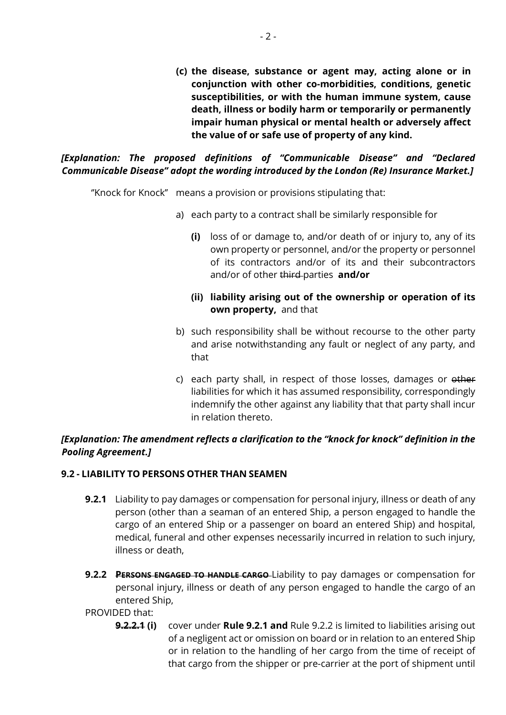**(c) the disease, substance or agent may, acting alone or in conjunction with other co-morbidities, conditions, genetic susceptibilities, or with the human immune system, cause death, illness or bodily harm or temporarily or permanently impair human physical or mental health or adversely affect the value of or safe use of property of any kind.**

*[Explanation: The proposed definitions of "Communicable Disease" and "Declared Communicable Disease" adopt the wording introduced by the London (Re) Insurance Market.]* 

''Knock for Knock'' means a provision or provisions stipulating that:

- a) each party to a contract shall be similarly responsible for
	- **(i)** loss of or damage to, and/or death of or injury to, any of its own property or personnel, and/or the property or personnel of its contractors and/or of its and their subcontractors and/or of other third parties **and/or**

# **(ii) liability arising out of the ownership or operation of its own property,** and that

- b) such responsibility shall be without recourse to the other party and arise notwithstanding any fault or neglect of any party, and that
- c) each party shall, in respect of those losses, damages or other liabilities for which it has assumed responsibility, correspondingly indemnify the other against any liability that that party shall incur in relation thereto.

# *[Explanation: The amendment reflects a clarification to the "knock for knock" definition in the Pooling Agreement.]*

# **9.2 - LIABILITY TO PERSONS OTHER THAN SEAMEN**

- **9.2.1** Liability to pay damages or compensation for personal injury, illness or death of any person (other than a seaman of an entered Ship, a person engaged to handle the cargo of an entered Ship or a passenger on board an entered Ship) and hospital, medical, funeral and other expenses necessarily incurred in relation to such injury, illness or death,
- **9.2.2 PERSONS ENGAGED TO HANDLE CARGO** Liability to pay damages or compensation for personal injury, illness or death of any person engaged to handle the cargo of an entered Ship,

#### PROVIDED that:

**9.2.2.1 (i)** cover under **Rule 9.2.1 and** Rule 9.2.2 is limited to liabilities arising out of a negligent act or omission on board or in relation to an entered Ship or in relation to the handling of her cargo from the time of receipt of that cargo from the shipper or pre-carrier at the port of shipment until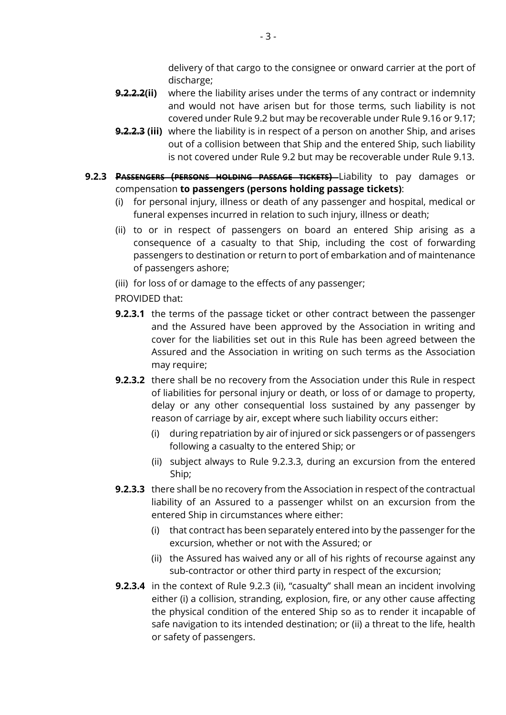delivery of that cargo to the consignee or onward carrier at the port of discharge;

- **9.2.2.2(ii)** where the liability arises under the terms of any contract or indemnity and would not have arisen but for those terms, such liability is not covered under Rule 9.2 but may be recoverable under Rule 9.16 or 9.17;
- **9.2.2.3 (iii)** where the liability is in respect of a person on another Ship, and arises out of a collision between that Ship and the entered Ship, such liability is not covered under Rule 9.2 but may be recoverable under Rule 9.13.
- **9.2.3 PASSENGERS (PERSONS HOLDING PASSAGE TICKETS)** Liability to pay damages or compensation **to passengers (persons holding passage tickets)**:
	- (i) for personal injury, illness or death of any passenger and hospital, medical or funeral expenses incurred in relation to such injury, illness or death;
	- (ii) to or in respect of passengers on board an entered Ship arising as a consequence of a casualty to that Ship, including the cost of forwarding passengers to destination or return to port of embarkation and of maintenance of passengers ashore;
	- (iii) for loss of or damage to the effects of any passenger;
	- PROVIDED that:
	- **9.2.3.1** the terms of the passage ticket or other contract between the passenger and the Assured have been approved by the Association in writing and cover for the liabilities set out in this Rule has been agreed between the Assured and the Association in writing on such terms as the Association may require;
	- **9.2.3.2** there shall be no recovery from the Association under this Rule in respect of liabilities for personal injury or death, or loss of or damage to property, delay or any other consequential loss sustained by any passenger by reason of carriage by air, except where such liability occurs either:
		- (i) during repatriation by air of injured or sick passengers or of passengers following a casualty to the entered Ship; or
		- (ii) subject always to Rule 9.2.3.3, during an excursion from the entered Ship;
	- **9.2.3.3** there shall be no recovery from the Association in respect of the contractual liability of an Assured to a passenger whilst on an excursion from the entered Ship in circumstances where either:
		- (i) that contract has been separately entered into by the passenger for the excursion, whether or not with the Assured; or
		- (ii) the Assured has waived any or all of his rights of recourse against any sub-contractor or other third party in respect of the excursion;
	- **9.2.3.4** in the context of Rule 9.2.3 (ii), "casualty" shall mean an incident involving either (i) a collision, stranding, explosion, fire, or any other cause affecting the physical condition of the entered Ship so as to render it incapable of safe navigation to its intended destination; or (ii) a threat to the life, health or safety of passengers.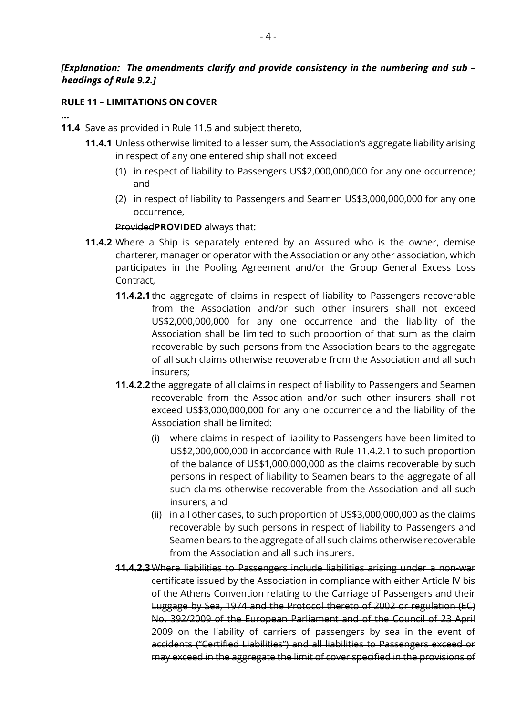# *[Explanation: The amendments clarify and provide consistency in the numbering and sub – headings of Rule 9.2.]*

#### **RULE 11 – LIMITATIONS ON COVER**

**…** 

**11.4** Save as provided in Rule 11.5 and subject thereto,

- **11.4.1** Unless otherwise limited to a lesser sum, the Association's aggregate liability arising in respect of any one entered ship shall not exceed
	- (1) in respect of liability to Passengers US\$2,000,000,000 for any one occurrence; and
	- (2) in respect of liability to Passengers and Seamen US\$3,000,000,000 for any one occurrence,

#### Provided**PROVIDED** always that:

- **11.4.2** Where a Ship is separately entered by an Assured who is the owner, demise charterer, manager or operator with the Association or any other association, which participates in the Pooling Agreement and/or the Group General Excess Loss Contract,
	- **11.4.2.1** the aggregate of claims in respect of liability to Passengers recoverable from the Association and/or such other insurers shall not exceed US\$2,000,000,000 for any one occurrence and the liability of the Association shall be limited to such proportion of that sum as the claim recoverable by such persons from the Association bears to the aggregate of all such claims otherwise recoverable from the Association and all such insurers;
	- **11.4.2.2** the aggregate of all claims in respect of liability to Passengers and Seamen recoverable from the Association and/or such other insurers shall not exceed US\$3,000,000,000 for any one occurrence and the liability of the Association shall be limited:
		- (i) where claims in respect of liability to Passengers have been limited to US\$2,000,000,000 in accordance with Rule 11.4.2.1 to such proportion of the balance of US\$1,000,000,000 as the claims recoverable by such persons in respect of liability to Seamen bears to the aggregate of all such claims otherwise recoverable from the Association and all such insurers; and
		- (ii) in all other cases, to such proportion of US\$3,000,000,000 as the claims recoverable by such persons in respect of liability to Passengers and Seamen bears to the aggregate of all such claims otherwise recoverable from the Association and all such insurers.
	- **11.4.2.3**Where liabilities to Passengers include liabilities arising under a non-war certificate issued by the Association in compliance with either Article IV bis of the Athens Convention relating to the Carriage of Passengers and their Luggage by Sea, 1974 and the Protocol thereto of 2002 or regulation (EC) No. 392/2009 of the European Parliament and of the Council of 23 April 2009 on the liability of carriers of passengers by sea in the event of accidents ("Certified Liabilities") and all liabilities to Passengers exceed or may exceed in the aggregate the limit of cover specified in the provisions of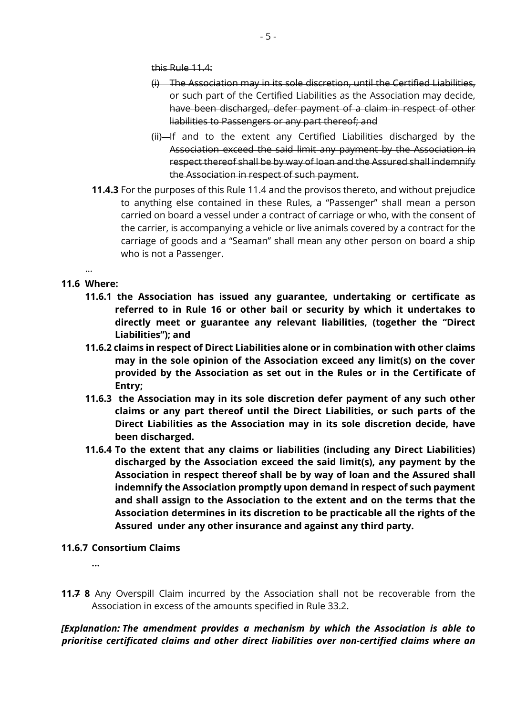this Rule 11.4:

- (i) The Association may in its sole discretion, until the Certified Liabilities, or such part of the Certified Liabilities as the Association may decide, have been discharged, defer payment of a claim in respect of other liabilities to Passengers or any part thereof; and
- (ii) If and to the extent any Certified Liabilities discharged by the Association exceed the said limit any payment by the Association in respect thereof shall be by way of loan and the Assured shall indemnify the Association in respect of such payment.
- **11.4.3** For the purposes of this Rule 11.4 and the provisos thereto, and without prejudice to anything else contained in these Rules, a "Passenger" shall mean a person carried on board a vessel under a contract of carriage or who, with the consent of the carrier, is accompanying a vehicle or live animals covered by a contract for the carriage of goods and a "Seaman" shall mean any other person on board a ship who is not a Passenger.

#### … **11.6 Where:**

- **11.6.1 the Association has issued any guarantee, undertaking or certificate as referred to in Rule 16 or other bail or security by which it undertakes to directly meet or guarantee any relevant liabilities, (together the "Direct Liabilities"); and**
- **11.6.2 claims in respect of Direct Liabilities alone or in combination with other claims may in the sole opinion of the Association exceed any limit(s) on the cover provided by the Association as set out in the Rules or in the Certificate of Entry;**
- **11.6.3 the Association may in its sole discretion defer payment of any such other claims or any part thereof until the Direct Liabilities, or such parts of the Direct Liabilities as the Association may in its sole discretion decide, have been discharged.**
- **11.6.4 To the extent that any claims or liabilities (including any Direct Liabilities) discharged by the Association exceed the said limit(s), any payment by the Association in respect thereof shall be by way of loan and the Assured shall indemnify the Association promptly upon demand in respect of such payment and shall assign to the Association to the extent and on the terms that the Association determines in its discretion to be practicable all the rights of the Assured under any other insurance and against any third party.**

#### **11.6.7 Consortium Claims**

 **…** 

**11.7 8** Any Overspill Claim incurred by the Association shall not be recoverable from the Association in excess of the amounts specified in Rule 33.2.

*[Explanation: The amendment provides a mechanism by which the Association is able to prioritise certificated claims and other direct liabilities over non-certified claims where an*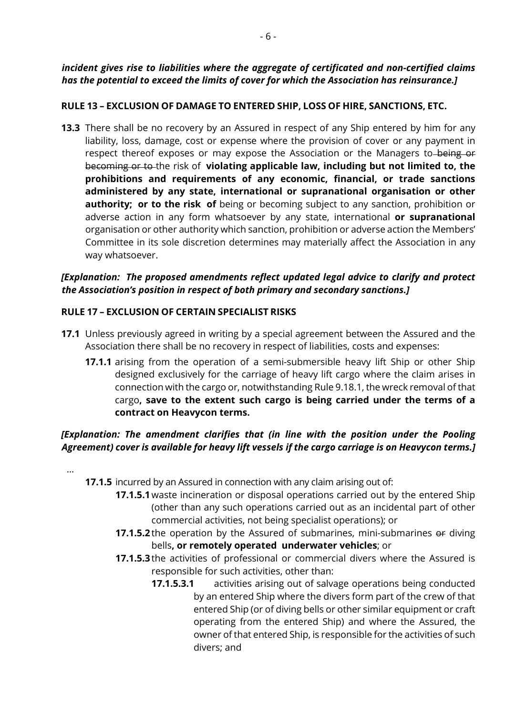# *incident gives rise to liabilities where the aggregate of certificated and non-certified claims has the potential to exceed the limits of cover for which the Association has reinsurance.]*

# **RULE 13 – EXCLUSION OF DAMAGE TO ENTERED SHIP, LOSS OF HIRE, SANCTIONS, ETC.**

**13.3** There shall be no recovery by an Assured in respect of any Ship entered by him for any liability, loss, damage, cost or expense where the provision of cover or any payment in respect thereof exposes or may expose the Association or the Managers to being or becoming or to the risk of **violating applicable law, including but not limited to, the prohibitions and requirements of any economic, financial, or trade sanctions administered by any state, international or supranational organisation or other authority; or to the risk of** being or becoming subject to any sanction, prohibition or adverse action in any form whatsoever by any state, international **or supranational** organisation or other authority which sanction, prohibition or adverse action the Members' Committee in its sole discretion determines may materially affect the Association in any way whatsoever.

# *[Explanation: The proposed amendments reflect updated legal advice to clarify and protect the Association's position in respect of both primary and secondary sanctions.]*

#### **RULE 17 – EXCLUSION OF CERTAIN SPECIALIST RISKS**

- **17.1** Unless previously agreed in writing by a special agreement between the Assured and the Association there shall be no recovery in respect of liabilities, costs and expenses:
	- **17.1.1** arising from the operation of a semi-submersible heavy lift Ship or other Ship designed exclusively for the carriage of heavy lift cargo where the claim arises in connection with the cargo or, notwithstanding Rule 9.18.1, the wreck removal of that cargo**, save to the extent such cargo is being carried under the terms of a contract on Heavycon terms.**

# *[Explanation: The amendment clarifies that (in line with the position under the Pooling Agreement) cover is available for heavy lift vessels if the cargo carriage is on Heavycon terms.]*

…

- **17.1.5** incurred by an Assured in connection with any claim arising out of:
	- **17.1.5.1**waste incineration or disposal operations carried out by the entered Ship (other than any such operations carried out as an incidental part of other commercial activities, not being specialist operations); or
	- **17.1.5.2** the operation by the Assured of submarines, mini-submarines of diving bells**, or remotely operated underwater vehicles**; or
	- **17.1.5.3** the activities of professional or commercial divers where the Assured is responsible for such activities, other than:
		- **17.1.5.3.1** activities arising out of salvage operations being conducted by an entered Ship where the divers form part of the crew of that entered Ship (or of diving bells or other similar equipment or craft operating from the entered Ship) and where the Assured, the owner of that entered Ship, is responsible for the activities of such divers; and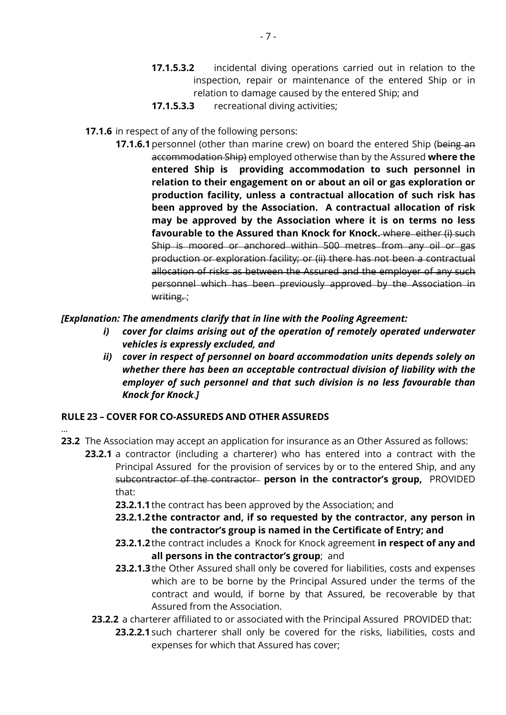- **17.1.5.3.2** incidental diving operations carried out in relation to the inspection, repair or maintenance of the entered Ship or in relation to damage caused by the entered Ship; and
- **17.1.5.3.3** recreational diving activities;
- **17.1.6** in respect of any of the following persons:
	- **17.1.6.1** personnel (other than marine crew) on board the entered Ship (being an accommodation Ship) employed otherwise than by the Assured **where the entered Ship is providing accommodation to such personnel in relation to their engagement on or about an oil or gas exploration or production facility, unless a contractual allocation of such risk has been approved by the Association. A contractual allocation of risk may be approved by the Association where it is on terms no less favourable to the Assured than Knock for Knock.** where either (i) such Ship is moored or anchored within 500 metres from any oil or gas production or exploration facility; or (ii) there has not been a contractual allocation of risks as between the Assured and the employer of any such personnel which has been previously approved by the Association in writing.:

*[Explanation: The amendments clarify that in line with the Pooling Agreement:* 

- *i) cover for claims arising out of the operation of remotely operated underwater vehicles is expressly excluded, and*
- *ii) cover in respect of personnel on board accommodation units depends solely on whether there has been an acceptable contractual division of liability with the employer of such personnel and that such division is no less favourable than Knock for Knock*.*]*

#### **RULE 23 – COVER FOR CO-ASSUREDS AND OTHER ASSUREDS**

…

- **23.2** The Association may accept an application for insurance as an Other Assured as follows:
	- **23.2.1** a contractor (including a charterer) who has entered into a contract with the Principal Assured for the provision of services by or to the entered Ship, and any subcontractor of the contractor **person in the contractor's group,** PROVIDED that:
		- **23.2.1.1** the contract has been approved by the Association; and
		- **23.2.1.2 the contractor and, if so requested by the contractor, any person in the contractor's group is named in the Certificate of Entry; and**
		- **23.2.1.2** the contract includes a Knock for Knock agreement **in respect of any and all persons in the contractor's group**; and
		- **23.2.1.3** the Other Assured shall only be covered for liabilities, costs and expenses which are to be borne by the Principal Assured under the terms of the contract and would, if borne by that Assured, be recoverable by that Assured from the Association.
		- **23.2.2** a charterer affiliated to or associated with the Principal Assured PROVIDED that:
			- **23.2.2.1** such charterer shall only be covered for the risks, liabilities, costs and expenses for which that Assured has cover;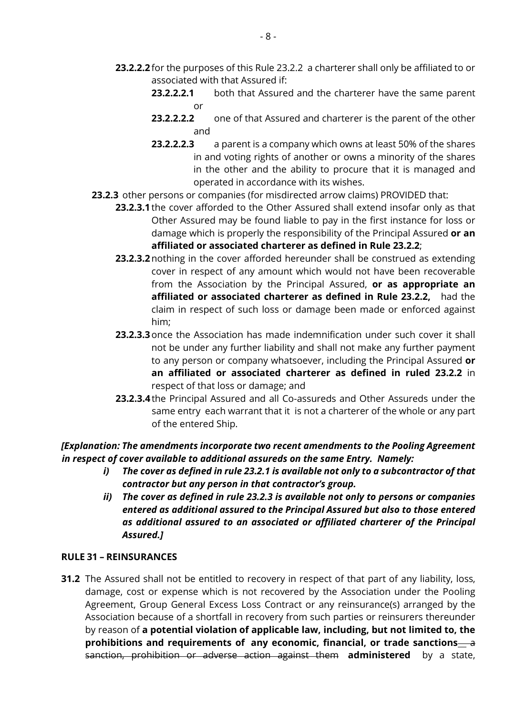- **23.2.2.2** for the purposes of this Rule 23.2.2 a charterer shall only be affiliated to or associated with that Assured if:
	- **23.2.2.2.1** both that Assured and the charterer have the same parent or
	- **23.2.2.2.2** one of that Assured and charterer is the parent of the other and
	- **23.2.2.2.3** a parent is a company which owns at least 50% of the shares in and voting rights of another or owns a minority of the shares in the other and the ability to procure that it is managed and operated in accordance with its wishes.
- **23.2.3** other persons or companies (for misdirected arrow claims) PROVIDED that:
	- **23.2.3.1** the cover afforded to the Other Assured shall extend insofar only as that Other Assured may be found liable to pay in the first instance for loss or damage which is properly the responsibility of the Principal Assured **or an affiliated or associated charterer as defined in Rule 23.2.2**;
	- **23.2.3.2**nothing in the cover afforded hereunder shall be construed as extending cover in respect of any amount which would not have been recoverable from the Association by the Principal Assured, **or as appropriate an affiliated or associated charterer as defined in Rule 23.2.2,** had the claim in respect of such loss or damage been made or enforced against him;
	- **23.2.3.3**once the Association has made indemnification under such cover it shall not be under any further liability and shall not make any further payment to any person or company whatsoever, including the Principal Assured **or an affiliated or associated charterer as defined in ruled 23.2.2** in respect of that loss or damage; and
	- **23.2.3.4** the Principal Assured and all Co-assureds and Other Assureds under the same entry each warrant that it is not a charterer of the whole or any part of the entered Ship.

#### *[Explanation: The amendments incorporate two recent amendments to the Pooling Agreement in respect of cover available to additional assureds on the same Entry. Namely:*

- *i) The cover as defined in rule 23.2.1 is available not only to a subcontractor of that contractor but any person in that contractor's group.*
- *ii) The cover as defined in rule 23.2.3 is available not only to persons or companies entered as additional assured to the Principal Assured but also to those entered as additional assured to an associated or affiliated charterer of the Principal Assured.]*

#### **RULE 31 – REINSURANCES**

**31.2** The Assured shall not be entitled to recovery in respect of that part of any liability, loss, damage, cost or expense which is not recovered by the Association under the Pooling Agreement, Group General Excess Loss Contract or any reinsurance(s) arranged by the Association because of a shortfall in recovery from such parties or reinsurers thereunder by reason of **a potential violation of applicable law, including, but not limited to, the**  prohibitions and requirements of any economic, financial, or trade sanctions—a sanction, prohibition or adverse action against them **administered** by a state,